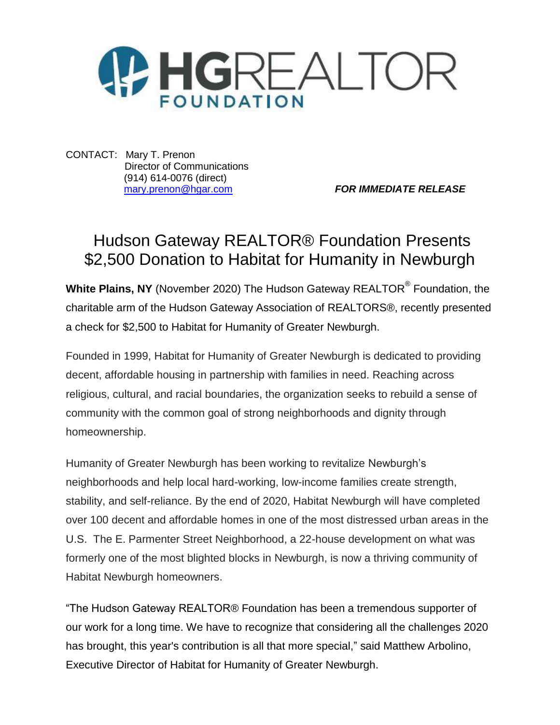

CONTACT: Mary T. Prenon Director of Communications (914) 614-0076 (direct)

[mary.prenon@hgar.com](mailto:mary.prenon@hgar.com) *FOR IMMEDIATE RELEASE*

## Hudson Gateway REALTOR® Foundation Presents \$2,500 Donation to Habitat for Humanity in Newburgh

**White Plains, NY** (November 2020) The Hudson Gateway REALTOR® Foundation, the charitable arm of the Hudson Gateway Association of REALTORS®, recently presented a check for \$2,500 to Habitat for Humanity of Greater Newburgh.

Founded in 1999, Habitat for Humanity of Greater Newburgh is dedicated to providing decent, affordable housing in partnership with families in need. Reaching across religious, cultural, and racial boundaries, the organization seeks to rebuild a sense of community with the common goal of strong neighborhoods and dignity through homeownership.

Humanity of Greater Newburgh has been working to revitalize Newburgh's neighborhoods and help local hard-working, low-income families create strength, stability, and self-reliance. By the end of 2020, Habitat Newburgh will have completed over 100 decent and affordable homes in one of the most distressed urban areas in the U.S. The E. Parmenter Street Neighborhood, a 22-house development on what was formerly one of the most blighted blocks in Newburgh, is now a thriving community of Habitat Newburgh homeowners.

"The Hudson Gateway REALTOR® Foundation has been a tremendous supporter of our work for a long time. We have to recognize that considering all the challenges 2020 has brought, this year's contribution is all that more special," said Matthew Arbolino, Executive Director of Habitat for Humanity of Greater Newburgh.